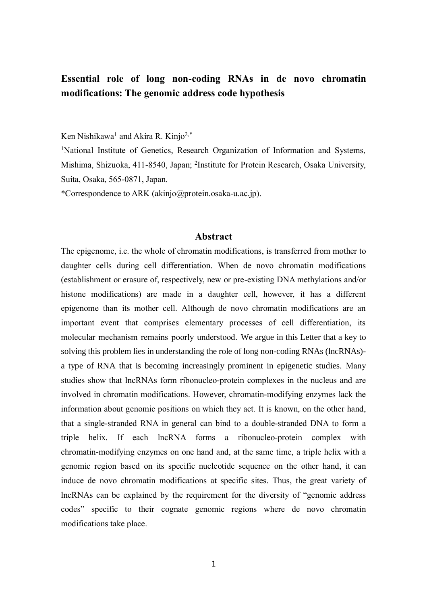# **Essential role of long non-coding RNAs in de novo chromatin modifications: The genomic address code hypothesis**

Ken Nishikawa<sup>1</sup> and Akira R. Kinjo<sup>2,\*</sup>

<sup>1</sup>National Institute of Genetics, Research Organization of Information and Systems, Mishima, Shizuoka, 411-8540, Japan; <sup>2</sup>Institute for Protein Research, Osaka University, Suita, Osaka, 565-0871, Japan.

\*Correspondence to ARK (akinjo@protein.osaka-u.ac.jp).

#### **Abstract**

The epigenome, i.e. the whole of chromatin modifications, is transferred from mother to daughter cells during cell differentiation. When de novo chromatin modifications (establishment or erasure of, respectively, new or pre-existing DNA methylations and/or histone modifications) are made in a daughter cell, however, it has a different epigenome than its mother cell. Although de novo chromatin modifications are an important event that comprises elementary processes of cell differentiation, its molecular mechanism remains poorly understood. We argue in this Letter that a key to solving this problem lies in understanding the role of long non-coding RNAs (lncRNAs) a type of RNA that is becoming increasingly prominent in epigenetic studies. Many studies show that lncRNAs form ribonucleo-protein complexes in the nucleus and are involved in chromatin modifications. However, chromatin-modifying enzymes lack the information about genomic positions on which they act. It is known, on the other hand, that a single-stranded RNA in general can bind to a double-stranded DNA to form a triple helix. If each lncRNA forms a ribonucleo-protein complex with chromatin-modifying enzymes on one hand and, at the same time, a triple helix with a genomic region based on its specific nucleotide sequence on the other hand, it can induce de novo chromatin modifications at specific sites. Thus, the great variety of lncRNAs can be explained by the requirement for the diversity of "genomic address codes" specific to their cognate genomic regions where de novo chromatin modifications take place.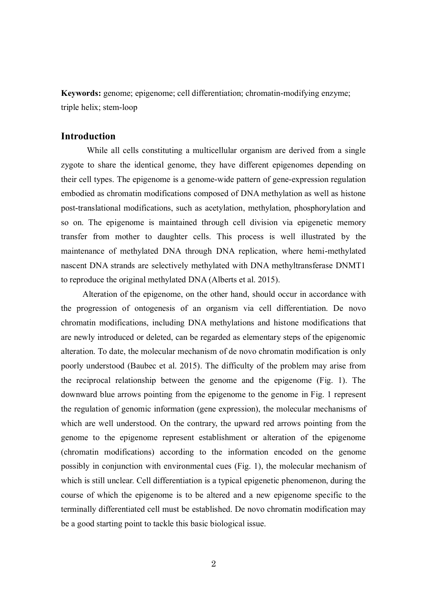**Keywords:** genome; epigenome; cell differentiation; chromatin-modifying enzyme; triple helix; stem-loop

## **Introduction**

 While all cells constituting a multicellular organism are derived from a single zygote to share the identical genome, they have different epigenomes depending on their cell types. The epigenome is a genome-wide pattern of gene-expression regulation embodied as chromatin modifications composed of DNA methylation as well as histone post-translational modifications, such as acetylation, methylation, phosphorylation and so on. The epigenome is maintained through cell division via epigenetic memory transfer from mother to daughter cells. This process is well illustrated by the maintenance of methylated DNA through DNA replication, where hemi-methylated nascent DNA strands are selectively methylated with DNA methyltransferase DNMT1 to reproduce the original methylated DNA (Alberts et al. 2015).

 Alteration of the epigenome, on the other hand, should occur in accordance with the progression of ontogenesis of an organism via cell differentiation. De novo chromatin modifications, including DNA methylations and histone modifications that are newly introduced or deleted, can be regarded as elementary steps of the epigenomic alteration. To date, the molecular mechanism of de novo chromatin modification is only poorly understood (Baubec et al. 2015). The difficulty of the problem may arise from the reciprocal relationship between the genome and the epigenome (Fig. 1). The downward blue arrows pointing from the epigenome to the genome in Fig. 1 represent the regulation of genomic information (gene expression), the molecular mechanisms of which are well understood. On the contrary, the upward red arrows pointing from the genome to the epigenome represent establishment or alteration of the epigenome (chromatin modifications) according to the information encoded on the genome possibly in conjunction with environmental cues (Fig. 1), the molecular mechanism of which is still unclear. Cell differentiation is a typical epigenetic phenomenon, during the course of which the epigenome is to be altered and a new epigenome specific to the terminally differentiated cell must be established. De novo chromatin modification may be a good starting point to tackle this basic biological issue.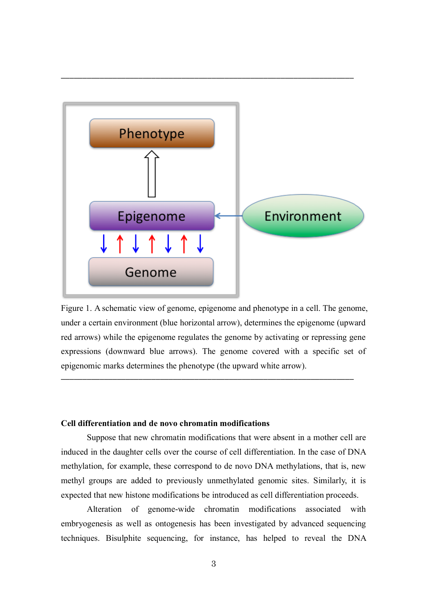

————————————————————————————————————————————————————————————————————

Figure 1. A schematic view of genome, epigenome and phenotype in a cell. The genome, under a certain environment (blue horizontal arrow), determines the epigenome (upward red arrows) while the epigenome regulates the genome by activating or repressing gene expressions (downward blue arrows). The genome covered with a specific set of epigenomic marks determines the phenotype (the upward white arrow).

————————————————————————————————————————————————————————————————————

## **Cell differentiation and de novo chromatin modifications**

 Suppose that new chromatin modifications that were absent in a mother cell are induced in the daughter cells over the course of cell differentiation. In the case of DNA methylation, for example, these correspond to de novo DNA methylations, that is, new methyl groups are added to previously unmethylated genomic sites. Similarly, it is expected that new histone modifications be introduced as cell differentiation proceeds.

 Alteration of genome-wide chromatin modifications associated with embryogenesis as well as ontogenesis has been investigated by advanced sequencing techniques. Bisulphite sequencing, for instance, has helped to reveal the DNA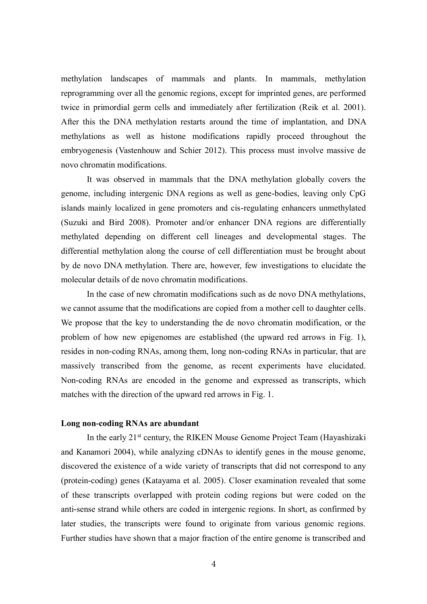methylation landscapes of mammals and plants. In mammals, methylation reprogramming over all the genomic regions, except for imprinted genes, are performed twice in primordial germ cells and immediately after fertilization (Reik et al. 2001). After this the DNA methylation restarts around the time of implantation, and DNA methylations as well as histone modifications rapidly proceed throughout the embryogenesis (Vastenhouw and Schier 2012). This process must involve massive de novo chromatin modifications.

 It was observed in mammals that the DNA methylation globally covers the genome, including intergenic DNA regions as well as gene-bodies, leaving only CpG islands mainly localized in gene promoters and cis-regulating enhancers unmethylated (Suzuki and Bird 2008). Promoter and/or enhancer DNA regions are differentially methylated depending on different cell lineages and developmental stages. The differential methylation along the course of cell differentiation must be brought about by de novo DNA methylation. There are, however, few investigations to elucidate the molecular details of de novo chromatin modifications.

 In the case of new chromatin modifications such as de novo DNA methylations, we cannot assume that the modifications are copied from a mother cell to daughter cells. We propose that the key to understanding the de novo chromatin modification, or the problem of how new epigenomes are established (the upward red arrows in Fig. 1), resides in non-coding RNAs, among them, long non-coding RNAs in particular, that are massively transcribed from the genome, as recent experiments have elucidated. Non-coding RNAs are encoded in the genome and expressed as transcripts, which matches with the direction of the upward red arrows in Fig. 1.

### **Long non-coding RNAs are abundant**

In the early 21<sup>st</sup> century, the RIKEN Mouse Genome Project Team (Hayashizaki) and Kanamori 2004), while analyzing cDNAs to identify genes in the mouse genome, discovered the existence of a wide variety of transcripts that did not correspond to any (protein-coding) genes (Katayama et al. 2005). Closer examination revealed that some of these transcripts overlapped with protein coding regions but were coded on the anti-sense strand while others are coded in intergenic regions. In short, as confirmed by later studies, the transcripts were found to originate from various genomic regions. Further studies have shown that a major fraction of the entire genome is transcribed and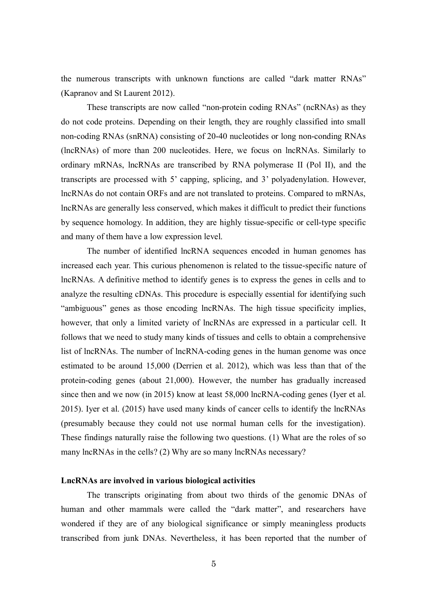the numerous transcripts with unknown functions are called "dark matter RNAs" (Kapranov and St Laurent 2012).

 These transcripts are now called "non-protein coding RNAs" (ncRNAs) as they do not code proteins. Depending on their length, they are roughly classified into small non-coding RNAs (snRNA) consisting of 20-40 nucleotides or long non-conding RNAs (lncRNAs) of more than 200 nucleotides. Here, we focus on lncRNAs. Similarly to ordinary mRNAs, lncRNAs are transcribed by RNA polymerase II (Pol II), and the transcripts are processed with 5' capping, splicing, and 3' polyadenylation. However, lncRNAs do not contain ORFs and are not translated to proteins. Compared to mRNAs, lncRNAs are generally less conserved, which makes it difficult to predict their functions by sequence homology. In addition, they are highly tissue-specific or cell-type specific and many of them have a low expression level.

 The number of identified lncRNA sequences encoded in human genomes has increased each year. This curious phenomenon is related to the tissue-specific nature of lncRNAs. A definitive method to identify genes is to express the genes in cells and to analyze the resulting cDNAs. This procedure is especially essential for identifying such "ambiguous" genes as those encoding lncRNAs. The high tissue specificity implies, however, that only a limited variety of lncRNAs are expressed in a particular cell. It follows that we need to study many kinds of tissues and cells to obtain a comprehensive list of lncRNAs. The number of lncRNA-coding genes in the human genome was once estimated to be around 15,000 (Derrien et al. 2012), which was less than that of the protein-coding genes (about 21,000). However, the number has gradually increased since then and we now (in 2015) know at least 58,000 lncRNA-coding genes (Iyer et al. 2015). Iyer et al. (2015) have used many kinds of cancer cells to identify the lncRNAs (presumably because they could not use normal human cells for the investigation). These findings naturally raise the following two questions. (1) What are the roles of so many lncRNAs in the cells? (2) Why are so many lncRNAs necessary?

#### **LncRNAs are involved in various biological activities**

 The transcripts originating from about two thirds of the genomic DNAs of human and other mammals were called the "dark matter", and researchers have wondered if they are of any biological significance or simply meaningless products transcribed from junk DNAs. Nevertheless, it has been reported that the number of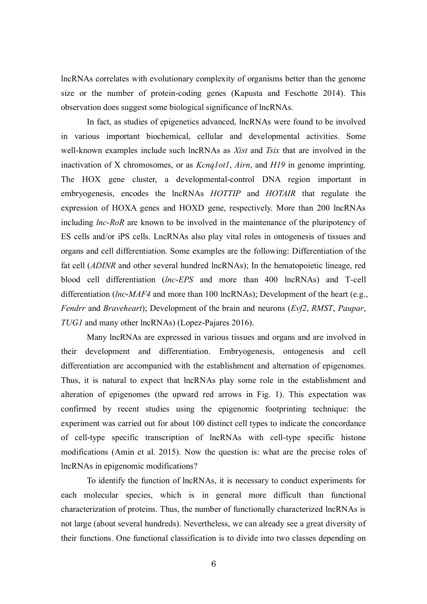lncRNAs correlates with evolutionary complexity of organisms better than the genome size or the number of protein-coding genes (Kapusta and Feschotte 2014). This observation does suggest some biological significance of lncRNAs.

 In fact, as studies of epigenetics advanced, lncRNAs were found to be involved in various important biochemical, cellular and developmental activities. Some well-known examples include such lncRNAs as *Xist* and *Tsix* that are involved in the inactivation of X chromosomes, or as *Kcnq1ot1*, *Airn*, and *H19* in genome imprinting. The HOX gene cluster, a developmental-control DNA region important in embryogenesis, encodes the lncRNAs *HOTTIP* and *HOTAIR* that regulate the expression of HOXA genes and HOXD gene, respectively. More than 200 lncRNAs including *lnc-RoR* are known to be involved in the maintenance of the pluripotency of ES cells and/or iPS cells. LncRNAs also play vital roles in ontogenesis of tissues and organs and cell differentiation. Some examples are the following: Differentiation of the fat cell (*ADINR* and other several hundred lncRNAs); In the hematopoietic lineage, red blood cell differentiation (*lnc-EPS* and more than 400 lncRNAs) and T-cell differentiation (*lnc-MAF4* and more than 100 lncRNAs); Development of the heart (e.g., *Fendrr* and *Braveheart*); Development of the brain and neurons (*Evf2*, *RMST*, *Paupar*, *TUG1* and many other lncRNAs) (Lopez-Pajares 2016).

 Many lncRNAs are expressed in various tissues and organs and are involved in their development and differentiation. Embryogenesis, ontogenesis and cell differentiation are accompanied with the establishment and alternation of epigenomes. Thus, it is natural to expect that lncRNAs play some role in the establishment and alteration of epigenomes (the upward red arrows in Fig. 1). This expectation was confirmed by recent studies using the epigenomic footprinting technique: the experiment was carried out for about 100 distinct cell types to indicate the concordance of cell-type specific transcription of lncRNAs with cell-type specific histone modifications (Amin et al. 2015). Now the question is: what are the precise roles of lncRNAs in epigenomic modifications?

 To identify the function of lncRNAs, it is necessary to conduct experiments for each molecular species, which is in general more difficult than functional characterization of proteins. Thus, the number of functionally characterized lncRNAs is not large (about several hundreds). Nevertheless, we can already see a great diversity of their functions. One functional classification is to divide into two classes depending on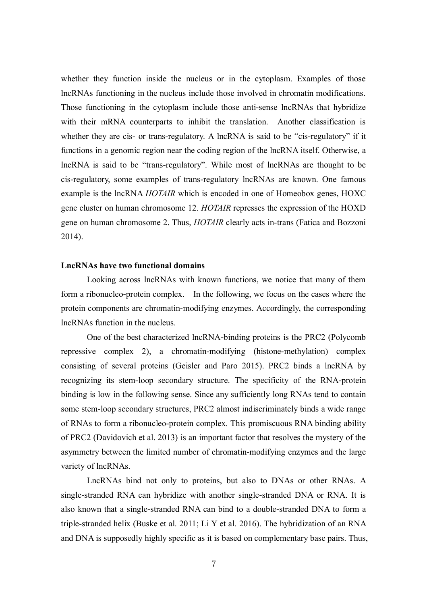whether they function inside the nucleus or in the cytoplasm. Examples of those lncRNAs functioning in the nucleus include those involved in chromatin modifications. Those functioning in the cytoplasm include those anti-sense lncRNAs that hybridize with their mRNA counterparts to inhibit the translation. Another classification is whether they are cis- or trans-regulatory. A lncRNA is said to be "cis-regulatory" if it functions in a genomic region near the coding region of the lncRNA itself. Otherwise, a lncRNA is said to be "trans-regulatory". While most of lncRNAs are thought to be cis-regulatory, some examples of trans-regulatory lncRNAs are known. One famous example is the lncRNA *HOTAIR* which is encoded in one of Homeobox genes, HOXC gene cluster on human chromosome 12. *HOTAIR* represses the expression of the HOXD gene on human chromosome 2. Thus, *HOTAIR* clearly acts in-trans (Fatica and Bozzoni 2014).

#### **LncRNAs have two functional domains**

 Looking across lncRNAs with known functions, we notice that many of them form a ribonucleo-protein complex. In the following, we focus on the cases where the protein components are chromatin-modifying enzymes. Accordingly, the corresponding lncRNAs function in the nucleus.

 One of the best characterized lncRNA-binding proteins is the PRC2 (Polycomb repressive complex 2), a chromatin-modifying (histone-methylation) complex consisting of several proteins (Geisler and Paro 2015). PRC2 binds a lncRNA by recognizing its stem-loop secondary structure. The specificity of the RNA-protein binding is low in the following sense. Since any sufficiently long RNAs tend to contain some stem-loop secondary structures, PRC2 almost indiscriminately binds a wide range of RNAs to form a ribonucleo-protein complex. This promiscuous RNA binding ability of PRC2 (Davidovich et al. 2013) is an important factor that resolves the mystery of the asymmetry between the limited number of chromatin-modifying enzymes and the large variety of lncRNAs.

 LncRNAs bind not only to proteins, but also to DNAs or other RNAs. A single-stranded RNA can hybridize with another single-stranded DNA or RNA. It is also known that a single-stranded RNA can bind to a double-stranded DNA to form a triple-stranded helix (Buske et al. 2011; Li Y et al. 2016). The hybridization of an RNA and DNA is supposedly highly specific as it is based on complementary base pairs. Thus,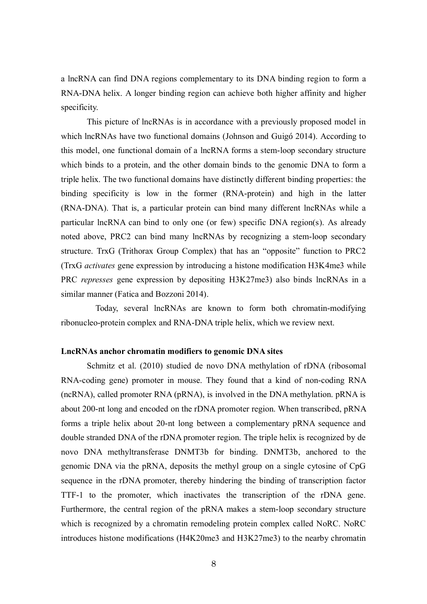a lncRNA can find DNA regions complementary to its DNA binding region to form a RNA-DNA helix. A longer binding region can achieve both higher affinity and higher specificity.

 This picture of lncRNAs is in accordance with a previously proposed model in which lncRNAs have two functional domains (Johnson and Guigó 2014). According to this model, one functional domain of a lncRNA forms a stem-loop secondary structure which binds to a protein, and the other domain binds to the genomic DNA to form a triple helix. The two functional domains have distinctly different binding properties: the binding specificity is low in the former (RNA-protein) and high in the latter (RNA-DNA). That is, a particular protein can bind many different lncRNAs while a particular lncRNA can bind to only one (or few) specific DNA region(s). As already noted above, PRC2 can bind many lncRNAs by recognizing a stem-loop secondary structure. TrxG (Trithorax Group Complex) that has an "opposite" function to PRC2 (TrxG *activates* gene expression by introducing a histone modification H3K4me3 while PRC *represses* gene expression by depositing H3K27me3) also binds lncRNAs in a similar manner (Fatica and Bozzoni 2014).

Today, several lncRNAs are known to form both chromatin-modifying ribonucleo-protein complex and RNA-DNA triple helix, which we review next.

## **LncRNAs anchor chromatin modifiers to genomic DNA sites**

 Schmitz et al. (2010) studied de novo DNA methylation of rDNA (ribosomal RNA-coding gene) promoter in mouse. They found that a kind of non-coding RNA (ncRNA), called promoter RNA (pRNA), is involved in the DNA methylation. pRNA is about 200-nt long and encoded on the rDNA promoter region. When transcribed, pRNA forms a triple helix about 20-nt long between a complementary pRNA sequence and double stranded DNA of the rDNA promoter region. The triple helix is recognized by de novo DNA methyltransferase DNMT3b for binding. DNMT3b, anchored to the genomic DNA via the pRNA, deposits the methyl group on a single cytosine of CpG sequence in the rDNA promoter, thereby hindering the binding of transcription factor TTF-1 to the promoter, which inactivates the transcription of the rDNA gene. Furthermore, the central region of the pRNA makes a stem-loop secondary structure which is recognized by a chromatin remodeling protein complex called NoRC. NoRC introduces histone modifications (H4K20me3 and H3K27me3) to the nearby chromatin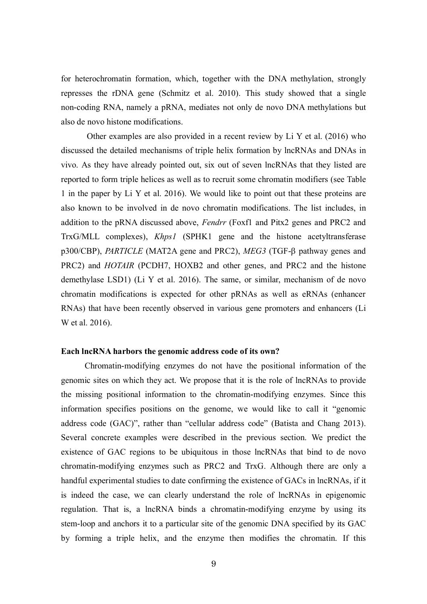for heterochromatin formation, which, together with the DNA methylation, strongly represses the rDNA gene (Schmitz et al. 2010). This study showed that a single non-coding RNA, namely a pRNA, mediates not only de novo DNA methylations but also de novo histone modifications.

 Other examples are also provided in a recent review by Li Y et al. (2016) who discussed the detailed mechanisms of triple helix formation by lncRNAs and DNAs in vivo. As they have already pointed out, six out of seven lncRNAs that they listed are reported to form triple helices as well as to recruit some chromatin modifiers (see Table 1 in the paper by Li Y et al. 2016). We would like to point out that these proteins are also known to be involved in de novo chromatin modifications. The list includes, in addition to the pRNA discussed above, *Fendrr* (Foxf1 and Pitx2 genes and PRC2 and TrxG/MLL complexes), *Khps1* (SPHK1 gene and the histone acetyltransferase p300/CBP), *PARTICLE* (MAT2A gene and PRC2), *MEG3* (TGF- $\beta$  pathway genes and PRC2) and *HOTAIR* (PCDH7, HOXB2 and other genes, and PRC2 and the histone demethylase LSD1) (Li Y et al. 2016). The same, or similar, mechanism of de novo chromatin modifications is expected for other pRNAs as well as eRNAs (enhancer RNAs) that have been recently observed in various gene promoters and enhancers (Li W et al. 2016).

## **Each lncRNA harbors the genomic address code of its own?**

 Chromatin-modifying enzymes do not have the positional information of the genomic sites on which they act. We propose that it is the role of lncRNAs to provide the missing positional information to the chromatin-modifying enzymes. Since this information specifies positions on the genome, we would like to call it "genomic address code (GAC)", rather than "cellular address code" (Batista and Chang 2013). Several concrete examples were described in the previous section. We predict the existence of GAC regions to be ubiquitous in those lncRNAs that bind to de novo chromatin-modifying enzymes such as PRC2 and TrxG. Although there are only a handful experimental studies to date confirming the existence of GACs in lncRNAs, if it is indeed the case, we can clearly understand the role of lncRNAs in epigenomic regulation. That is, a lncRNA binds a chromatin-modifying enzyme by using its stem-loop and anchors it to a particular site of the genomic DNA specified by its GAC by forming a triple helix, and the enzyme then modifies the chromatin. If this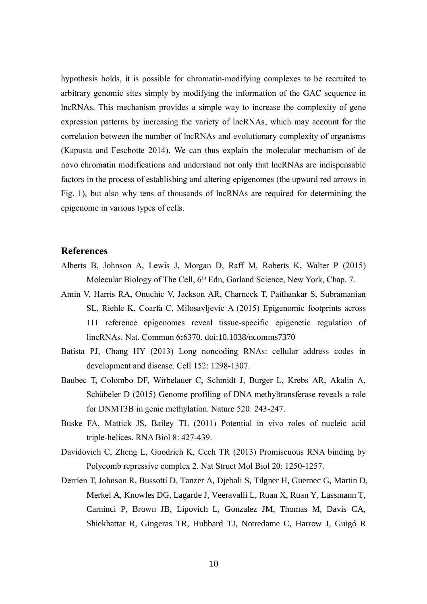hypothesis holds, it is possible for chromatin-modifying complexes to be recruited to arbitrary genomic sites simply by modifying the information of the GAC sequence in lncRNAs. This mechanism provides a simple way to increase the complexity of gene expression patterns by increasing the variety of lncRNAs, which may account for the correlation between the number of lncRNAs and evolutionary complexity of organisms (Kapusta and Feschotte 2014). We can thus explain the molecular mechanism of de novo chromatin modifications and understand not only that lncRNAs are indispensable factors in the process of establishing and altering epigenomes (the upward red arrows in Fig. 1), but also why tens of thousands of lncRNAs are required for determining the epigenome in various types of cells.

## **References**

- Alberts B, Johnson A, Lewis J, Morgan D, Raff M, Roberts K, Walter P (2015) Molecular Biology of The Cell, 6<sup>th</sup> Edn, Garland Science, New York, Chap. 7.
- Amin V, Harris RA, Onuchic V, Jackson AR, Charneck T, Paithankar S, Subramanian SL, Riehle K, Coarfa C, Milosavljevic A (2015) Epigenomic footprints across 111 reference epigenomes reveal tissue-specific epigenetic regulation of lincRNAs. Nat. Commun 6**:**6370. doi:10.1038/ncomms7370
- Batista PJ, Chang HY (2013) Long noncoding RNAs: cellular address codes in development and disease. Cell 152: 1298-1307.
- Baubec T, Colombo DF, Wirbelauer C, Schmidt J, Burger L, Krebs AR, Akalin A, Schübeler D (2015) Genome profiling of DNA methyltransferase reveals a role for DNMT3B in genic methylation. Nature 520: 243-247.
- Buske FA, Mattick JS, Bailey TL (2011) Potential in vivo roles of nucleic acid triple-helices. RNA Biol 8: 427-439.
- Davidovich C, Zheng L, Goodrich K, Cech TR (2013) Promiscuous RNA binding by Polycomb repressive complex 2. Nat Struct Mol Biol 20: 1250-1257.
- Derrien T, Johnson R, Bussotti D, Tanzer A, Djebali S, Tilgner H, Guernec G, Martin D, Merkel A, Knowles DG, Lagarde J, Veeravalli L, Ruan X, Ruan Y, Lassmann T, Carninci P, Brown JB, Lipovich L, Gonzalez JM, Thomas M, Davis CA, Shiekhattar R, Gingeras TR, Hubbard TJ, Notredame C, Harrow J, Guigó R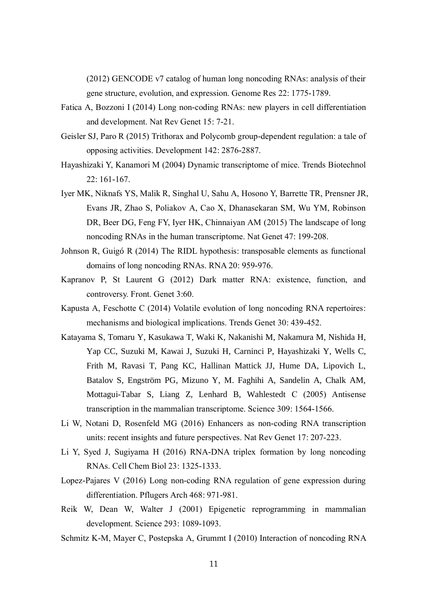(2012) GENCODE v7 catalog of human long noncoding RNAs: analysis of their gene structure, evolution, and expression. Genome Res 22: 1775-1789.

- Fatica A, Bozzoni I (2014) Long non-coding RNAs: new players in cell differentiation and development. Nat Rev Genet 15: 7-21.
- Geisler SJ, Paro R (2015) Trithorax and Polycomb group-dependent regulation: a tale of opposing activities. Development 142: 2876-2887.
- Hayashizaki Y, Kanamori M (2004) Dynamic transcriptome of mice. Trends Biotechnol 22: 161-167.
- Iyer MK, Niknafs YS, Malik R, Singhal U, Sahu A, Hosono Y, Barrette TR, Prensner JR, Evans JR, Zhao S, Poliakov A, Cao X, Dhanasekaran SM, Wu YM, Robinson DR, Beer DG, Feng FY, Iyer HK, Chinnaiyan AM (2015) The landscape of long noncoding RNAs in the human transcriptome. Nat Genet 47: 199-208.
- Johnson R, Guigó R (2014) The RIDL hypothesis: transposable elements as functional domains of long noncoding RNAs. RNA 20: 959-976.
- Kapranov P, St Laurent G (2012) Dark matter RNA: existence, function, and controversy. Front. Genet 3:60.
- Kapusta A, Feschotte C (2014) Volatile evolution of long noncoding RNA repertoires: mechanisms and biological implications. Trends Genet 30: 439-452.
- Katayama S, Tomaru Y, Kasukawa T, Waki K, Nakanishi M, Nakamura M, Nishida H, Yap CC, Suzuki M, Kawai J, Suzuki H, Carninci P, Hayashizaki Y, Wells C, Frith M, Ravasi T, Pang KC, Hallinan Mattick JJ, Hume DA, Lipovich L, Batalov S, Engström PG, Mizuno Y, M. Faghihi A, Sandelin A, Chalk AM, Mottagui-Tabar S, Liang Z, Lenhard B, Wahlestedt C (2005) Antisense transcription in the mammalian transcriptome. Science 309: 1564-1566.
- Li W, Notani D, Rosenfeld MG (2016) Enhancers as non-coding RNA transcription units: recent insights and future perspectives. Nat Rev Genet 17: 207-223.
- Li Y, Syed J, Sugiyama H (2016) RNA-DNA triplex formation by long noncoding RNAs. Cell Chem Biol 23: 1325-1333.
- Lopez-Pajares V (2016) Long non-coding RNA regulation of gene expression during differentiation. Pflugers Arch 468: 971-981.
- Reik W, Dean W, Walter J (2001) Epigenetic reprogramming in mammalian development. Science 293: 1089-1093.
- Schmitz K-M, Mayer C, Postepska A, Grummt I (2010) Interaction of noncoding RNA